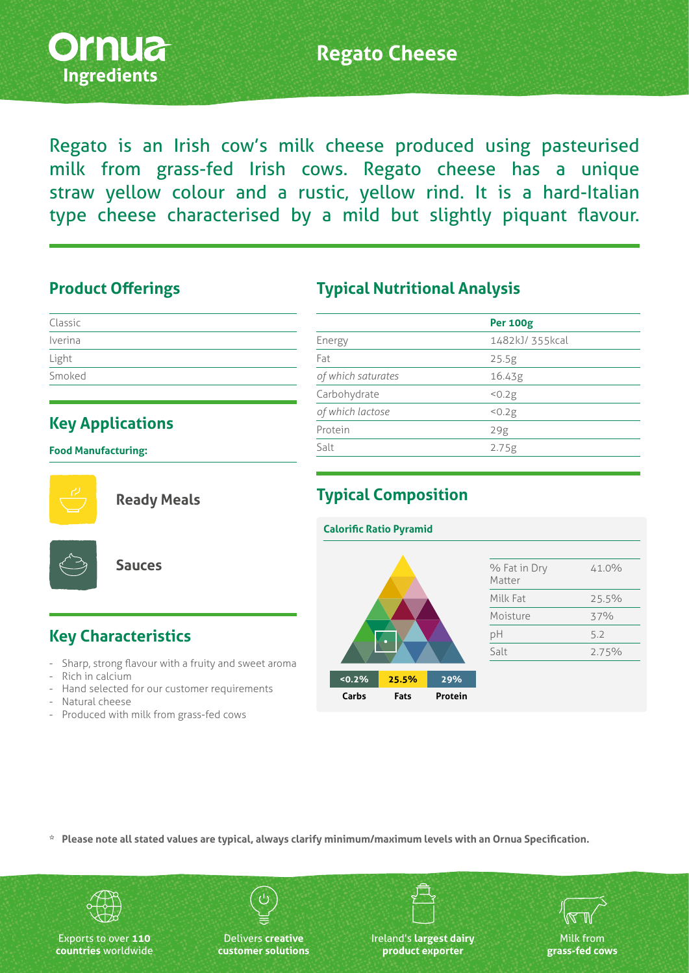

# **Regato Cheese**

Regato is an Irish cow's milk cheese produced using pasteurised milk from grass‑fed Irish cows. Regato cheese has a unique straw yellow colour and a rustic, yellow rind. It is a hard-Italian type cheese characterised by a mild but slightly piquant flavour.

#### **Product Offerings**

| Classic |  |  |  |
|---------|--|--|--|
| Iverina |  |  |  |
| Light   |  |  |  |
| Smoked  |  |  |  |

# **Key Applications**

**Food Manufacturing:**



**Ready Meals**



**Sauces**

## **Typical Nutritional Analysis**

|                    | <b>Per 100g</b> |
|--------------------|-----------------|
| Energy             | 1482kJ/ 355kcal |
| Fat                | 25.5g           |
| of which saturates | 16.43g          |
| Carbohydrate       | 50.2g           |
| of which lactose   | 50.2g           |
| Protein            | 29g             |
| Salt               | 2.75g           |
|                    |                 |

### **Typical Composition**



### **Key Characteristics**

- Sharp, strong flavour with a fruity and sweet aroma
- Rich in calcium
- Hand selected for our customer requirements
- Natural cheese
- Produced with milk from grass-fed cows

**\* Please note all stated values are typical, always clarify minimum/maximum levels with an Ornua Specification.**



Exports to over **110 countries** worldwide

Delivers **creative customer solutions** Ireland's **largest dairy product exporter**